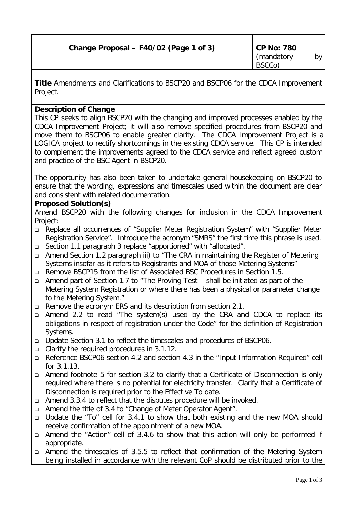| Change Proposal - F40/02 (Page 1 of 3) |  |  |
|----------------------------------------|--|--|
|----------------------------------------|--|--|

**Title** Amendments and Clarifications to BSCP20 and BSCP06 for the CDCA Improvement Project.

## **Description of Change**

This CP seeks to align BSCP20 with the changing and improved processes enabled by the CDCA Improvement Project; it will also remove specified procedures from BSCP20 and move them to BSCP06 to enable greater clarity. The CDCA Improvement Project is a LOGICA project to rectify shortcomings in the existing CDCA service. This CP is intended to complement the improvements agreed to the CDCA service and reflect agreed custom and practice of the BSC Agent in BSCP20.

The opportunity has also been taken to undertake general housekeeping on BSCP20 to ensure that the wording, expressions and timescales used within the document are clear and consistent with related documentation.

## **Proposed Solution(s)**

Amend BSCP20 with the following changes for inclusion in the CDCA Improvement Project:

- <sup>q</sup> Replace all occurrences of "Supplier Meter Registration System" with "Supplier Meter Registration Service". Introduce the acronym "SMRS" the first time this phrase is used.
- <sup>q</sup> Section 1.1 paragraph 3 replace "apportioned" with "allocated".
- <sup>q</sup> Amend Section 1.2 paragraph iii) to "The CRA in maintaining the Register of Metering Systems insofar as it refers to Registrants and MOA of those Metering Systems"
- <sup>q</sup> Remove BSCP15 from the list of Associated BSC Procedures in Section 1.5.
- <sup>q</sup> Amend part of Section 1.7 to "The Proving Test shall be initiated as part of the Metering System Registration or where there has been a physical or parameter change to the Metering System."
- <sup>q</sup> Remove the acronym ERS and its description from section 2.1.
- <sup>q</sup> Amend 2.2 to read "The system(s) used by the CRA and CDCA to replace its obligations in respect of registration under the Code" for the definition of Registration Systems.
- <sup>q</sup> Update Section 3.1 to reflect the timescales and procedures of BSCP06.
- <sup>q</sup> Clarify the required procedures in 3.1.12.
- <sup>q</sup> Reference BSCP06 section 4.2 and section 4.3 in the "Input Information Required" cell for 3.1.13.
- <sup>q</sup> Amend footnote 5 for section 3.2 to clarify that a Certificate of Disconnection is only required where there is no potential for electricity transfer. Clarify that a Certificate of Disconnection is required prior to the Effective To date.
- <sup>q</sup> Amend 3.3.4 to reflect that the disputes procedure will be invoked.
- <sup>q</sup> Amend the title of 3.4 to "Change of Meter Operator Agent".
- <sup>q</sup> Update the "To" cell for 3.4.1 to show that both existing and the new MOA should receive confirmation of the appointment of a new MOA.
- <sup>q</sup> Amend the "Action" cell of 3.4.6 to show that this action will only be performed if appropriate.
- <sup>q</sup> Amend the timescales of 3.5.5 to reflect that confirmation of the Metering System being installed in accordance with the relevant CoP should be distributed prior to the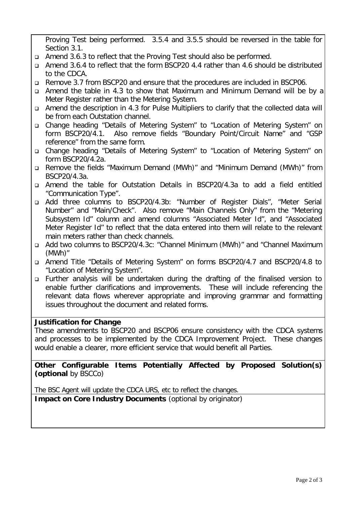Proving Test being performed. 3.5.4 and 3.5.5 should be reversed in the table for Section 3.1.

- <sup>q</sup> Amend 3.6.3 to reflect that the Proving Test should also be performed.
- <sup>q</sup> Amend 3.6.4 to reflect that the form BSCP20 4.4 rather than 4.6 should be distributed to the CDCA.
- <sup>q</sup> Remove 3.7 from BSCP20 and ensure that the procedures are included in BSCP06.
- <sup>q</sup> Amend the table in 4.3 to show that Maximum and Minimum Demand will be by a Meter Register rather than the Metering System.
- <sup>q</sup> Amend the description in 4.3 for Pulse Multipliers to clarify that the collected data will be from each Outstation channel.
- <sup>q</sup> Change heading "Details of Metering System" to "Location of Metering System" on form BSCP20/4.1. Also remove fields "Boundary Point/Circuit Name" and "GSP reference" from the same form.
- <sup>q</sup> Change heading "Details of Metering System" to "Location of Metering System" on form BSCP20/4.2a.
- <sup>q</sup> Remove the fields "Maximum Demand (MWh)" and "Minimum Demand (MWh)" from BSCP20/4.3a.
- <sup>q</sup> Amend the table for Outstation Details in BSCP20/4.3a to add a field entitled "Communication Type".
- <sup>q</sup> Add three columns to BSCP20/4.3b: "Number of Register Dials", "Meter Serial Number" and "Main/Check". Also remove "Main Channels Only" from the "Metering Subsystem Id" column and amend columns "Associated Meter Id", and "Associated Meter Register Id" to reflect that the data entered into them will relate to the relevant main meters rather than check channels.
- <sup>q</sup> Add two columns to BSCP20/4.3c: "Channel Minimum (MWh)" and "Channel Maximum (MWh)"
- <sup>q</sup> Amend Title "Details of Metering System" on forms BSCP20/4.7 and BSCP20/4.8 to "Location of Metering System".
- <sup>q</sup> Further analysis will be undertaken during the drafting of the finalised version to enable further clarifications and improvements. These will include referencing the relevant data flows wherever appropriate and improving grammar and formatting issues throughout the document and related forms.

## **Justification for Change**

These amendments to BSCP20 and BSCP06 ensure consistency with the CDCA systems and processes to be implemented by the CDCA Improvement Project. These changes would enable a clearer, more efficient service that would benefit all Parties.

**Other Configurable Items Potentially Affected by Proposed Solution(s)** *(optional by BSCCo)*

The BSC Agent will update the CDCA URS, etc to reflect the changes.

**Impact on Core Industry Documents** *(optional by originator)*